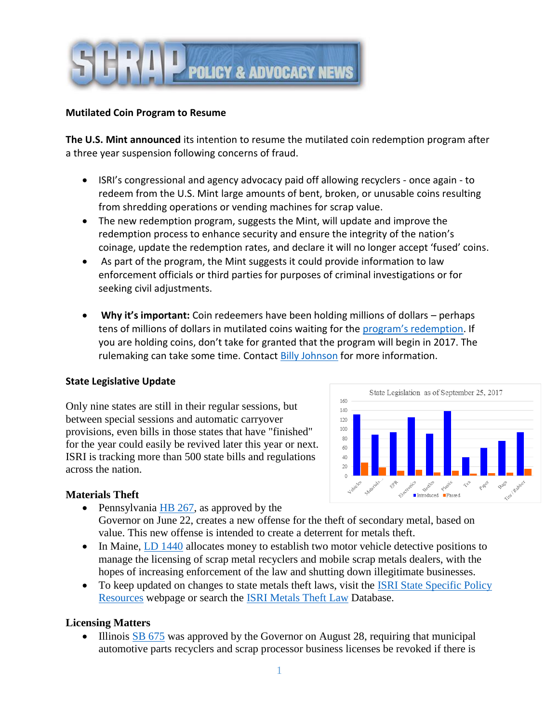

# **Mutilated Coin Program to Resume**

**The U.S. Mint announced** its intention to resume the mutilated coin redemption program after a three year suspension following concerns of fraud.

- ISRI's congressional and agency advocacy paid off allowing recyclers once again to redeem from the U.S. Mint large amounts of bent, broken, or unusable coins resulting from shredding operations or vending machines for scrap value.
- The new redemption program, suggests the Mint, will update and improve the redemption process to enhance security and ensure the integrity of the nation's coinage, update the redemption rates, and declare it will no longer accept 'fused' coins.
- As part of the program, the Mint suggests it could provide information to law enforcement officials or third parties for purposes of criminal investigations or for seeking civil adjustments.
- **Why it's important:** Coin redeemers have been holding millions of dollars perhaps tens of millions of dollars in mutilated coins waiting for the [program's redemption](https://www.federalregister.gov/documents/2017/09/19/2017-19885/exchange-of-coin). If you are holding coins, don't take for granted that the program will begin in 2017. The rulemaking can take some time. Contact Billy [Johnson](mailto:bjohnson@isri.org) for more information.

### **State Legislative Update**

Only nine states are still in their regular sessions, but between special sessions and automatic carryover provisions, even bills in those states that have "finished" for the year could easily be revived later this year or next. ISRI is tracking more than 500 state bills and regulations across the nation.



### **Materials Theft**

- Pennsylvania  $HB$  267, as approved by the Governor on June 22, creates a new offense for the theft of secondary metal, based on
- value. This new offense is intended to create a deterrent for metals theft. • In Maine, [LD 1440](http://app.multistate.us/#/49276b18/snapshots/5aa46687a881b008d4ebebf8/) allocates money to establish two motor vehicle detective positions to manage the licensing of scrap metal recyclers and mobile scrap metals dealers, with the
- hopes of increasing enforcement of the law and shutting down illegitimate businesses.
- To keep updated on changes to state metals theft laws, visit the ISRI State Specific Policy [Resources](http://www.isri.org/policy-regulations/state-policies/state-specific-policy-resources#.Wcpq8rJ9670) webpage or search the [ISRI Metals Theft Law](http://www.isri.org/policy-regulations/metals-theft/state-database#.Wcpq27J9670) Database.

### **Licensing Matters**

 Illinois [SB 675](http://app.multistate.us/#/49276b18/snapshots/a53aa27302fa3aa3aee06b9d/) was approved by the Governor on August 28, requiring that municipal automotive parts recyclers and scrap processor business licenses be revoked if there is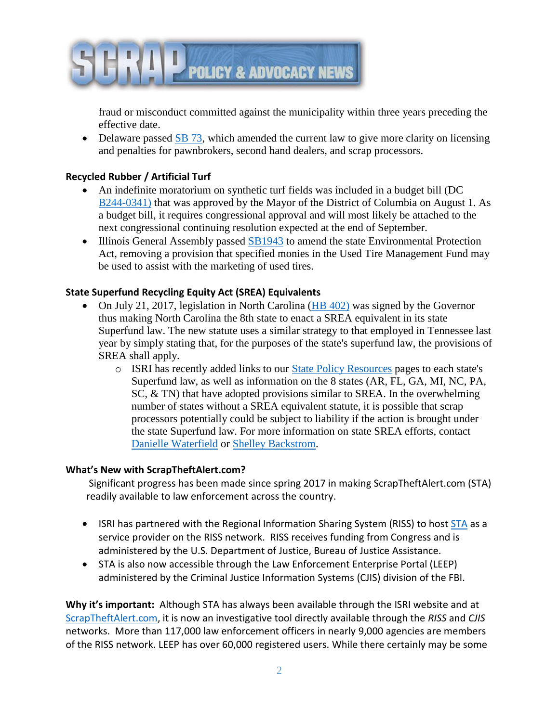

fraud or misconduct committed against the municipality within three years preceding the effective date.

• Delaware passed [SB 73,](http://app.multistate.us/#/49276b18/snapshots/fc905c399c0a9cda39df6f4b/) which amended the current law to give more clarity on licensing and penalties for pawnbrokers, second hand dealers, and scrap processors.

# **Recycled Rubber / Artificial Turf**

- An indefinite moratorium on synthetic turf fields was included in a budget bill (DC [B244-0341\)](http://app.multistate.us/#/49276b18/snapshots/f1c7b2d4588e4f13da80add1/) that was approved by the Mayor of the District of Columbia on August 1. As a budget bill, it requires congressional approval and will most likely be attached to the next congressional continuing resolution expected at the end of September.
- Illinois General Assembly passed [SB1943](http://app.multistate.us/#/49276b18/snapshots/8ba0e432887e8b700852f6b6/) to amend the state Environmental Protection Act, removing a provision that specified monies in the Used Tire Management Fund may be used to assist with the marketing of used tires.

# **State Superfund Recycling Equity Act (SREA) Equivalents**

- On July 21, 2017, legislation in North Carolina [\(HB 402\)](http://app.multistate.us/#/49276b18/snapshots/59be89b34e56555ff416aeb6/) was signed by the Governor thus making North Carolina the 8th state to enact a SREA equivalent in its state Superfund law. The new statute uses a similar strategy to that employed in Tennessee last year by simply stating that, for the purposes of the state's superfund law, the provisions of SREA shall apply.
	- o ISRI has recently added links to our [State Policy Resources](http://www.isri.org/policy-regulations/state-policies/state-specific-policy-resources#.Wcjr4bJ9672) pages to each state's Superfund law, as well as information on the 8 states (AR, FL, GA, MI, NC, PA, SC, & TN) that have adopted provisions similar to SREA. In the overwhelming number of states without a SREA equivalent statute, it is possible that scrap processors potentially could be subject to liability if the action is brought under the state Superfund law. For more information on state SREA efforts, contact [Danielle Waterfield](mailto:dwaterfield@isri.org) or Shelley [Backstrom.](mailto:sbackstrom@isri.org)

### **What's New with ScrapTheftAlert.com?**

Significant progress has been made since spring 2017 in making ScrapTheftAlert.com (STA) readily available to law enforcement across the country.

- ISRI has partnered with the Regional Information Sharing System (RISS) to host [STA](http://scraptheftalert.com/Home/Home.aspx) as a service provider on the RISS network. RISS receives funding from Congress and is administered by the U.S. Department of Justice, Bureau of Justice Assistance.
- STA is also now accessible through the Law Enforcement Enterprise Portal (LEEP) administered by the Criminal Justice Information Systems (CJIS) division of the FBI.

**Why it's important:** Although STA has always been available through the ISRI website and at [ScrapTheftAlert.com,](http://scraptheftalert.com/) it is now an investigative tool directly available through the *RISS* and *CJIS*  networks. More than 117,000 law enforcement officers in nearly 9,000 agencies are members of the RISS network. LEEP has over 60,000 registered users. While there certainly may be some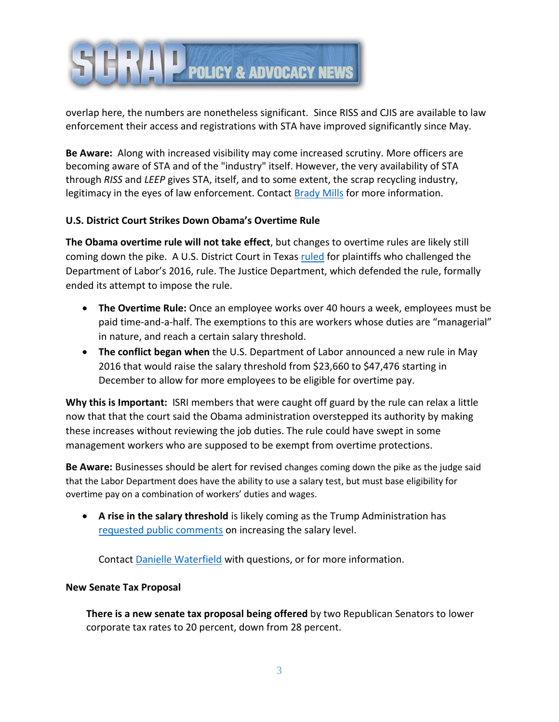

overlap here, the numbers are nonetheless significant. Since RISS and CJIS are available to law enforcement their access and registrations with STA have improved significantly since May.

**Be Aware:** Along with increased visibility may come increased scrutiny. More officers are becoming aware of STA and of the "industry" itself. However, the very availability of STA through *RISS* and *LEEP* gives STA, itself, and to some extent, the scrap recycling industry, legitimacy in the eyes of law enforcement. Contact **Brady Mills** for more information.

# **U.S. District Court Strikes Down Obama's Overtime Rule**

**The Obama overtime rule will not take effect**, but changes to overtime rules are likely still coming down the pike. A U.S. District Court in Texas [ruled](http://www.txed.uscourts.gov/sites/default/files/notable/Memorandum%20Opinion%20and%20Order%20%20Dated%208-31-2017.pdf) for plaintiffs who challenged the Department of Labor's 2016, rule. The Justice Department, which defended the rule, formally ended its attempt to impose the rule.

- **The Overtime Rule:** Once an employee works over 40 hours a week, employees must be paid time-and-a-half. The exemptions to this are workers whose duties are "managerial" in nature, and reach a certain salary threshold.
- **The conflict began when** the U.S. Department of Labor announced a new rule in May 2016 that would raise the salary threshold from \$23,660 to \$47,476 starting in December to allow for more employees to be eligible for overtime pay.

**Why this is Important:** ISRI members that were caught off guard by the rule can relax a little now that that the court said the Obama administration overstepped its authority by making these increases without reviewing the job duties. The rule could have swept in some management workers who are supposed to be exempt from overtime protections.

**Be Aware:** Businesses should be alert for revised changes coming down the pike as the judge said that the Labor Department does have the ability to use a salary test, but must base eligibility for overtime pay on a combination of workers' duties and wages.

 **A rise in the salary threshold** is likely coming as the Trump Administration has [requested public comments](https://www.dol.gov/whd/overtime/rfi2016.htm) on increasing the salary level.

Contact Danielle [Waterfield](mailto:dwaterfield@isri.org) with questions, or for more information.

# **New Senate Tax Proposal**

**There is a new senate tax proposal being offered** by two Republican Senators to lower corporate tax rates to 20 percent, down from 28 percent.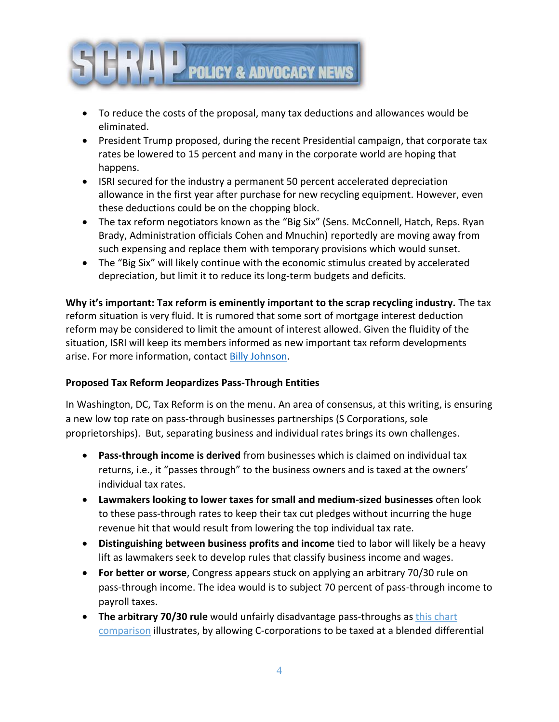

- To reduce the costs of the proposal, many tax deductions and allowances would be eliminated.
- President Trump proposed, during the recent Presidential campaign, that corporate tax rates be lowered to 15 percent and many in the corporate world are hoping that happens.
- ISRI secured for the industry a permanent 50 percent accelerated depreciation allowance in the first year after purchase for new recycling equipment. However, even these deductions could be on the chopping block.
- The tax reform negotiators known as the "Big Six" (Sens. McConnell, Hatch, Reps. Ryan Brady, Administration officials Cohen and Mnuchin) reportedly are moving away from such expensing and replace them with temporary provisions which would sunset.
- The "Big Six" will likely continue with the economic stimulus created by accelerated depreciation, but limit it to reduce its long-term budgets and deficits.

**Why it's important: Tax reform is eminently important to the scrap recycling industry.** The tax reform situation is very fluid. It is rumored that some sort of mortgage interest deduction reform may be considered to limit the amount of interest allowed. Given the fluidity of the situation, ISRI will keep its members informed as new important tax reform developments arise. For more information, contact **Billy Johnson**.

# **Proposed Tax Reform Jeopardizes Pass-Through Entities**

In Washington, DC, Tax Reform is on the menu. An area of consensus, at this writing, is ensuring a new low top rate on pass-through businesses partnerships (S Corporations, sole proprietorships). But, separating business and individual rates brings its own challenges.

- **Pass-through income is derived** from businesses which is claimed on individual tax returns, i.e., it "passes through" to the business owners and is taxed at the owners' individual tax rates.
- **Lawmakers looking to lower taxes for small and medium-sized businesses** often look to these pass-through rates to keep their tax cut pledges without incurring the huge revenue hit that would result from lowering the top individual tax rate.
- **Distinguishing between business profits and income** tied to labor will likely be a heavy lift as lawmakers seek to develop rules that classify business income and wages.
- **For better or worse**, Congress appears stuck on applying an arbitrary 70/30 rule on pass-through income. The idea would is to subject 70 percent of pass-through income to payroll taxes.
- **The arbitrary 70/30 rule** would unfairly disadvantage pass-throughs as this chart comparison illustrates, by allowing C-corporations to be taxed at a blended differential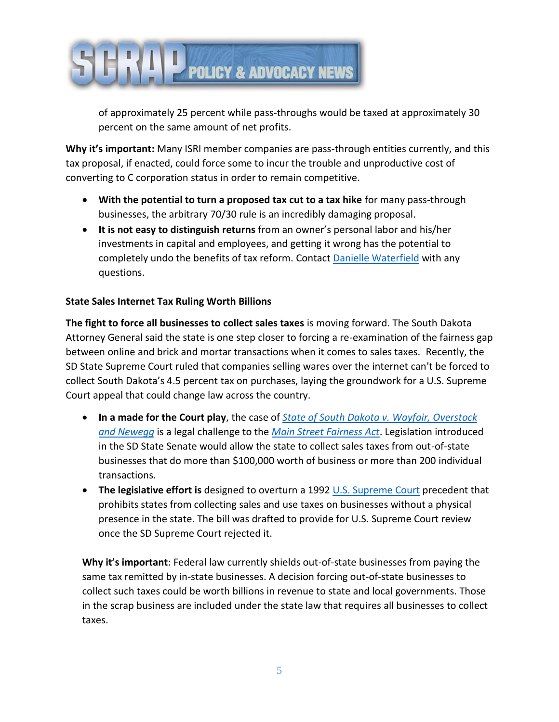

of approximately 25 percent while pass-throughs would be taxed at approximately 30 percent on the same amount of net profits.

**Why it's important:** Many ISRI member companies are pass-through entities currently, and this tax proposal, if enacted, could force some to incur the trouble and unproductive cost of converting to C corporation status in order to remain competitive.

- **With the potential to turn a proposed tax cut to a tax hike** for many pass-through businesses, the arbitrary 70/30 rule is an incredibly damaging proposal.
- **It is not easy to distinguish returns** from an owner's personal labor and his/her investments in capital and employees, and getting it wrong has the potential to completely undo the benefits of tax reform. Contact Danielle [Waterfield](mailto:dwaterfield@isri.org) with any questions.

# **State Sales Internet Tax Ruling Worth Billions**

**The fight to force all businesses to collect sales taxes** is moving forward. The South Dakota Attorney General said the state is one step closer to forcing a re-examination of the fairness gap between online and brick and mortar transactions when it comes to sales taxes. Recently, the SD State Supreme Court ruled that companies selling wares over the internet can't be forced to collect South Dakota's 4.5 percent tax on purchases, laying the groundwork for a U.S. Supreme Court appeal that could change law across the country.

- **In a made for the Court play**, the case of *[State of South Dakota v. Wayfair, Overstock](http://ujs.sd.gov/uploads/sc/opinions/28160.pdf)  [and Newegg](http://ujs.sd.gov/uploads/sc/opinions/28160.pdf)* is a legal challenge to the *[Main Street Fairness Act](http://sdlegislature.gov/Legislative_Session/Bills/Bill.aspx?Bill=106&Session=2016)*. Legislation introduced in the SD State Senate would allow the state to collect sales taxes from out-of-state businesses that do more than \$100,000 worth of business or more than 200 individual transactions.
- **The legislative effort is** designed to overturn a 1992 [U.S. Supreme Court](https://supreme.justia.com/cases/federal/us/504/298/case.html) precedent that prohibits states from collecting sales and use taxes on businesses without a physical presence in the state. The bill was drafted to provide for U.S. Supreme Court review once the SD Supreme Court rejected it.

**Why it's important**: Federal law currently shields out-of-state businesses from paying the same tax remitted by in-state businesses. A decision forcing out-of-state businesses to collect such taxes could be worth billions in revenue to state and local governments. Those in the scrap business are included under the state law that requires all businesses to collect taxes.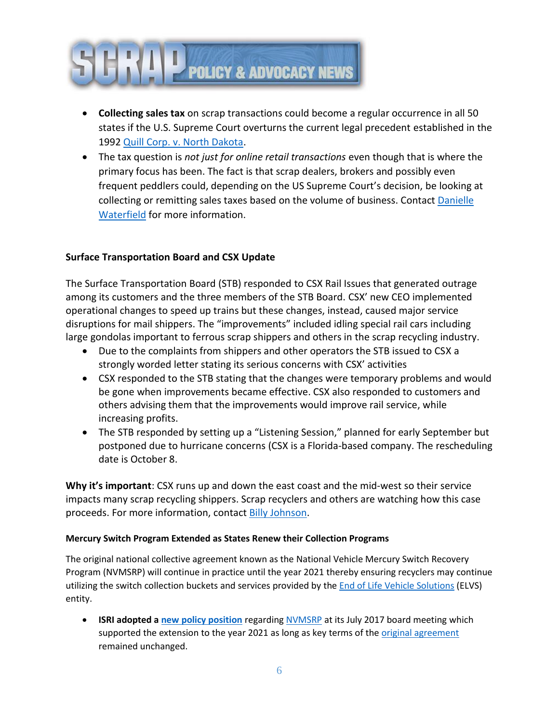

- **Collecting sales tax** on scrap transactions could become a regular occurrence in all 50 states if the U.S. Supreme Court overturns the current legal precedent established in the 1992 [Quill Corp. v. North Dakota.](https://supreme.justia.com/cases/federal/us/504/298/case.html)
- The tax question is *not just for online retail transactions* even though that is where the primary focus has been. The fact is that scrap dealers, brokers and possibly even frequent peddlers could, depending on the US Supreme Court's decision, be looking at collecting or remitting sales taxes based on the volume of business. Contact [Danielle](mailto:dwaterfield@isri.org) [Waterfield](mailto:dwaterfield@isri.org) for more information.

# **Surface Transportation Board and CSX Update**

The Surface Transportation Board (STB) responded to CSX Rail Issues that generated outrage among its customers and the three members of the STB Board. CSX' new CEO implemented operational changes to speed up trains but these changes, instead, caused major service disruptions for mail shippers. The "improvements" included idling special rail cars including large gondolas important to ferrous scrap shippers and others in the scrap recycling industry.

- Due to the complaints from shippers and other operators the STB issued to CSX a strongly worded letter stating its serious concerns with CSX' activities
- CSX responded to the STB stating that the changes were temporary problems and would be gone when improvements became effective. CSX also responded to customers and others advising them that the improvements would improve rail service, while increasing profits.
- The STB responded by setting up a "Listening Session," planned for early September but postponed due to hurricane concerns (CSX is a Florida-based company. The rescheduling date is October 8.

**Why it's important**: CSX runs up and down the east coast and the mid-west so their service impacts many scrap recycling shippers. Scrap recyclers and others are watching how this case proceeds. For more information, contact Billy [Johnson.](mailto:bjohnson@isri.org)

#### **Mercury Switch Program Extended as States Renew their Collection Programs**

The original national collective agreement known as the National Vehicle Mercury Switch Recovery Program (NVMSRP) will continue in practice until the year 2021 thereby ensuring recyclers may continue utilizing the switch collection buckets and services provided by the **End of Life Vehicle Solutions** (ELVS) entity.

 **ISRI adopted [a new policy position](http://link.email.dynect.net/link.php?DynEngagement=true&H=%2Bdu7sJaY23OO%2BqQ6mC2QqglzHYl8onDna9bYv0z8S%2B2c1yLWI1mxfl4%2BjLhes4Y4Phz3%2F3gbd82t3iq6kHHZxbOV82hId91%2FCjAwYFFBDP1ULJchXvumwA%3D%3D&G=0&R=http%3A%2F%2Fwww.isri.org%2Fdocs%2Fdefault-source%2Fpolicy-position-statements%2Fcontinuation-of-the-national-vehicle-mercury-switch-recovery-program.pdf%3Fsfvrsn%3D2&I=20170921173211.00000012eb1c%40mail6-59-ussnn1&X=MHwxMDQ2NzU4OjU5YzNmNzk1MDljMzkyZDZhYmU2MThmNDs%3D&S=k7mFSFAP38i-TZ0Bzj03otDVP6Tln8LC1wbC_hbDi-U)** regarding [NVMSRP](https://archive.epa.gov/mercury/archive/web/html/index-4.html) at its July 2017 board meeting which supported the extension to the year 2021 as long as key terms of the *original agreement* remained unchanged.